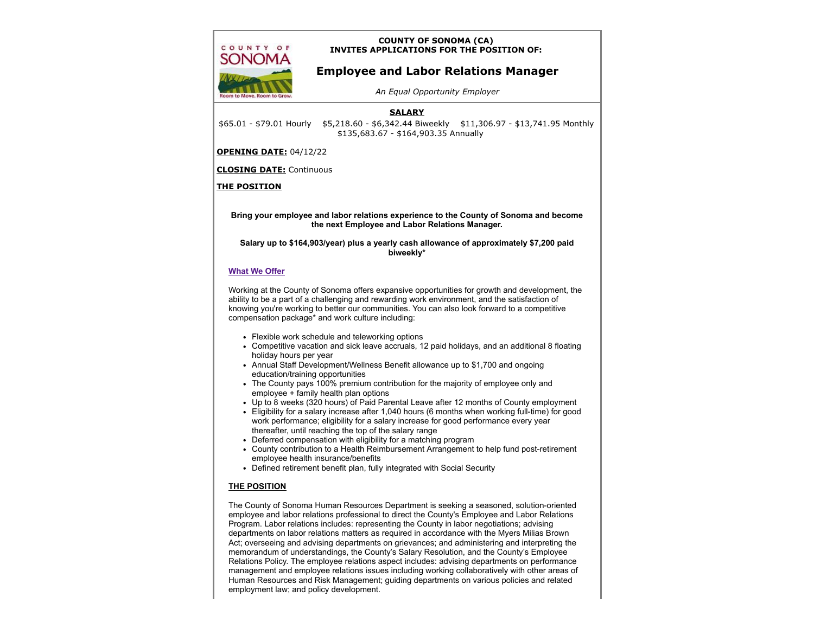## **COUNTY OF SONOMA (CA) INVITES APPLICATIONS FOR THE POSITION OF:**

# **Employee and Labor Relations Manager**

*An Equal Opportunity Employer*

### **SALARY**

\$65.01 - \$79.01 Hourly \$5,218.60 - \$6,342.44 Biweekly \$11,306.97 - \$13,741.95 Monthly \$135,683.67 - \$164,903.35 Annually

#### **OPENING DATE:** 04/12/22

**CLOSING DATE:** Continuous

#### **THE POSITION**

COUNTY OF **SONOMA** 

> **Bring your employee and labor relations experience to the County of Sonoma and become the next Employee and Labor Relations Manager.**

**Salary up to \$164,903/year) plus a yearly cash allowance of approximately \$7,200 paid biweekly\***

#### **[What We Offer](https://sonomacounty.ca.gov/HR/Benefits/Benefit-Directory-for-Employees/)**

Working at the County of Sonoma offers expansive opportunities for growth and development, the ability to be a part of a challenging and rewarding work environment, and the satisfaction of knowing you're working to better our communities. You can also look forward to a competitive compensation package\* and work culture including:

- Flexible work schedule and teleworking options
- Competitive vacation and sick leave accruals, 12 paid holidays, and an additional 8 floating holiday hours per year
- Annual Staff Development/Wellness Benefit allowance up to \$1,700 and ongoing education/training opportunities
- The County pays 100% premium contribution for the majority of employee only and employee + family health plan options
- Up to 8 weeks (320 hours) of Paid Parental Leave after 12 months of County employment
- Eligibility for a salary increase after 1,040 hours (6 months when working full-time) for good work performance; eligibility for a salary increase for good performance every year thereafter, until reaching the top of the salary range
- Deferred compensation with eligibility for a matching program
- County contribution to a Health Reimbursement Arrangement to help fund post-retirement employee health insurance/benefits
- Defined retirement benefit plan, fully integrated with Social Security

#### **THE POSITION**

The County of Sonoma Human Resources Department is seeking a seasoned, solution-oriented employee and labor relations professional to direct the County's Employee and Labor Relations Program. Labor relations includes: representing the County in labor negotiations; advising departments on labor relations matters as required in accordance with the Myers Milias Brown Act; overseeing and advising departments on grievances; and administering and interpreting the memorandum of understandings, the County's Salary Resolution, and the County's Employee Relations Policy. The employee relations aspect includes: advising departments on performance management and employee relations issues including working collaboratively with other areas of Human Resources and Risk Management; guiding departments on various policies and related employment law; and policy development.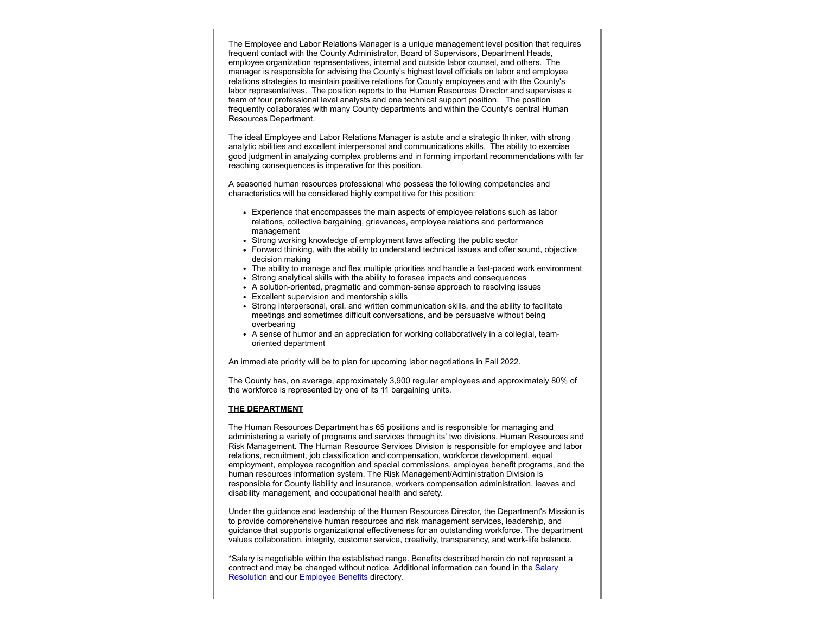The Employee and Labor Relations Manager is a unique management level position that requires frequent contact with the County Administrator, Board of Supervisors, Department Heads, employee organization representatives, internal and outside labor counsel, and others. The manager is responsible for advising the County's highest level officials on labor and employee relations strategies to maintain positive relations for County employees and with the County's labor representatives. The position reports to the Human Resources Director and supervises a team of four professional level analysts and one technical support position. The position frequently collaborates with many County departments and within the County's central Human Resources Department.

The ideal Employee and Labor Relations Manager is astute and a strategic thinker, with strong analytic abilities and excellent interpersonal and communications skills. The ability to exercise good judgment in analyzing complex problems and in forming important recommendations with far reaching consequences is imperative for this position.

A seasoned human resources professional who possess the following competencies and characteristics will be considered highly competitive for this position:

- Experience that encompasses the main aspects of employee relations such as labor relations, collective bargaining, grievances, employee relations and performance management
- Strong working knowledge of employment laws affecting the public sector
- Forward thinking, with the ability to understand technical issues and offer sound, objective decision making
- The ability to manage and flex multiple priorities and handle a fast-paced work environment
- Strong analytical skills with the ability to foresee impacts and consequences
- A solution-oriented, pragmatic and common-sense approach to resolving issues
- Excellent supervision and mentorship skills
- Strong interpersonal, oral, and written communication skills, and the ability to facilitate meetings and sometimes difficult conversations, and be persuasive without being overbearing
- A sense of humor and an appreciation for working collaboratively in a collegial, teamoriented department

An immediate priority will be to plan for upcoming labor negotiations in Fall 2022.

The County has, on average, approximately 3,900 regular employees and approximately 80% of the workforce is represented by one of its 11 bargaining units.

#### **THE DEPARTMENT**

The Human Resources Department has 65 positions and is responsible for managing and administering a variety of programs and services through its' two divisions, Human Resources and Risk Management. The Human Resource Services Division is responsible for employee and labor relations, recruitment, job classification and compensation, workforce development, equal employment, employee recognition and special commissions, employee benefit programs, and the human resources information system. The Risk Management/Administration Division is responsible for County liability and insurance, workers compensation administration, leaves and disability management, and occupational health and safety.

Under the guidance and leadership of the Human Resources Director, the Department's Mission is to provide comprehensive human resources and risk management services, leadership, and guidance that supports organizational effectiveness for an outstanding workforce. The department values collaboration, integrity, customer service, creativity, transparency, and work-life balance.

\*Salary is negotiable within the established range. Benefits described herein do not represent a [contract and may be changed without notice. Additional information can found in the Salary](http://sonomacounty.ca.gov/HR/Employee-Relations/Labor/Salary-Resolution/MOU-2019-2023) Resolution and our **Employee Benefits** directory.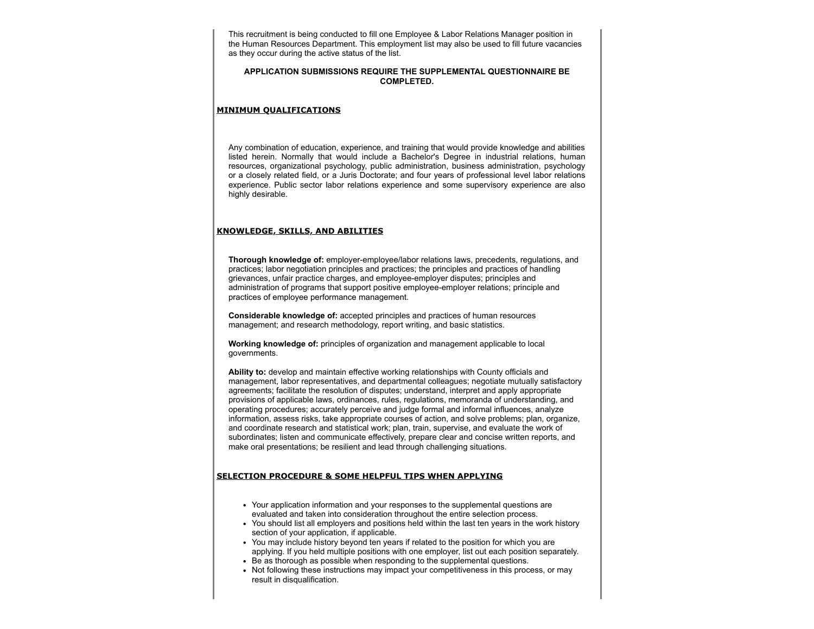This recruitment is being conducted to fill one Employee & Labor Relations Manager position in the Human Resources Department. This employment list may also be used to fill future vacancies as they occur during the active status of the list.

#### **APPLICATION SUBMISSIONS REQUIRE THE SUPPLEMENTAL QUESTIONNAIRE BE COMPLETED.**

#### **MINIMUM QUALIFICATIONS**

Any combination of education, experience, and training that would provide knowledge and abilities listed herein. Normally that would include a Bachelor's Degree in industrial relations, human resources, organizational psychology, public administration, business administration, psychology or a closely related field, or a Juris Doctorate; and four years of professional level labor relations experience. Public sector labor relations experience and some supervisory experience are also highly desirable.

#### **KNOWLEDGE, SKILLS, AND ABILITIES**

**Thorough knowledge of:** employer-employee/labor relations laws, precedents, regulations, and practices; labor negotiation principles and practices; the principles and practices of handling grievances, unfair practice charges, and employee-employer disputes; principles and administration of programs that support positive employee-employer relations; principle and practices of employee performance management.

**Considerable knowledge of:** accepted principles and practices of human resources management; and research methodology, report writing, and basic statistics.

**Working knowledge of:** principles of organization and management applicable to local governments.

**Ability to:** develop and maintain effective working relationships with County officials and management, labor representatives, and departmental colleagues; negotiate mutually satisfactory agreements; facilitate the resolution of disputes; understand, interpret and apply appropriate provisions of applicable laws, ordinances, rules, regulations, memoranda of understanding, and operating procedures; accurately perceive and judge formal and informal influences, analyze information, assess risks, take appropriate courses of action, and solve problems; plan, organize, and coordinate research and statistical work; plan, train, supervise, and evaluate the work of subordinates; listen and communicate effectively, prepare clear and concise written reports, and make oral presentations; be resilient and lead through challenging situations.

#### **SELECTION PROCEDURE & SOME HELPFUL TIPS WHEN APPLYING**

- Your application information and your responses to the supplemental questions are evaluated and taken into consideration throughout the entire selection process.
- You should list all employers and positions held within the last ten years in the work history section of your application, if applicable.
- You may include history beyond ten years if related to the position for which you are applying. If you held multiple positions with one employer, list out each position separately.
- Be as thorough as possible when responding to the supplemental questions.
- Not following these instructions may impact your competitiveness in this process, or may result in disqualification.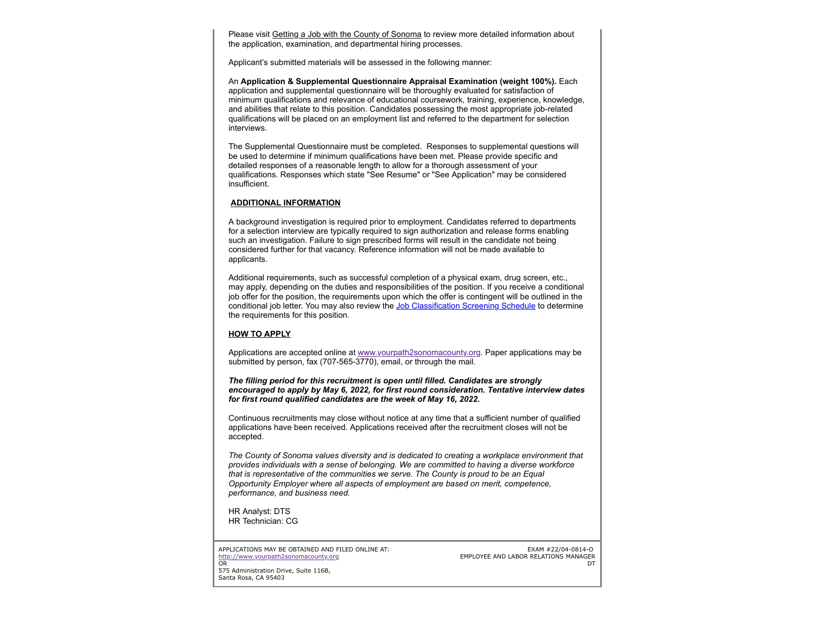Please visit Getting a Job [with the County of Sonoma](http://sonomacounty.ca.gov/HR/Recruitment-and-Classification/Getting-a-Job) to review more detailed information about the application, examination, and departmental hiring processes.

Applicant's submitted materials will be assessed in the following manner:

An **Application & Supplemental Questionnaire Appraisal Examination (weight 100%).** Each application and supplemental questionnaire will be thoroughly evaluated for satisfaction of minimum qualifications and relevance of educational coursework, training, experience, knowledge, and abilities that relate to this position. Candidates possessing the most appropriate job-related qualifications will be placed on an employment list and referred to the department for selection interviews.

The Supplemental Questionnaire must be completed. Responses to supplemental questions will be used to determine if minimum qualifications have been met. Please provide specific and detailed responses of a reasonable length to allow for a thorough assessment of your qualifications. Responses which state "See Resume" or "See Application" may be considered insufficient.

#### **ADDITIONAL INFORMATION**

A background investigation is required prior to employment. Candidates referred to departments for a selection interview are typically required to sign authorization and release forms enabling such an investigation. Failure to sign prescribed forms will result in the candidate not being considered further for that vacancy. Reference information will not be made available to applicants.

Additional requirements, such as successful completion of a physical exam, drug screen, etc., may apply, depending on the duties and responsibilities of the position. If you receive a conditional job offer for the position, the requirements upon which the offer is contingent will be outlined in the conditional job letter. You may also review the [Job Classification Screening Schedule](https://sonomacounty.ca.gov/a/114023) to determine the requirements for this position.

#### **HOW TO APPLY**

Applications are accepted online at [www.yourpath2sonomacounty.org](http://www.yourpath2sonomacounty.org/). Paper applications may be submitted by person, fax (707-565-3770), email, or through the mail.

*The filling period for this recruitment is open until filled. Candidates are strongly encouraged to apply by May 6, 2022, for first round consideration. Tentative interview dates for first round qualified candidates are the week of May 16, 2022.*

Continuous recruitments may close without notice at any time that a sufficient number of qualified applications have been received. Applications received after the recruitment closes will not be accepted.

*The County of Sonoma values diversity and is dedicated to creating a workplace environment that provides individuals with a sense of belonging. We are committed to having a diverse workforce that is representative of the communities we serve. The County is proud to be an Equal Opportunity Employer where all aspects of employment are based on merit, competence, performance, and business need.*

HR Analyst: DTS HR Technician: CG

APPLICATIONS MAY BE OBTAINED AND FILED ONLINE AT: [http://www.yourpath2sonomacounty.org](http://www.yourpath2sonomacounty.org/) OR

EXAM #22/04-0814-O EMPLOYEE AND LABOR RELATIONS MANAGER **DT** 

575 Administration Drive, Suite 116B, Santa Rosa, CA 95403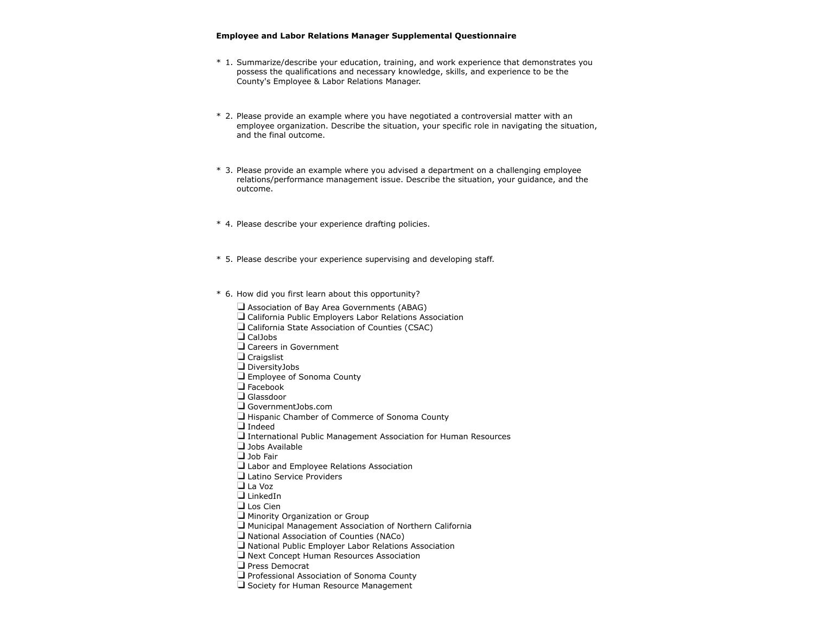#### **Employee and Labor Relations Manager Supplemental Questionnaire**

- \* 1. Summarize/describe your education, training, and work experience that demonstrates you possess the qualifications and necessary knowledge, skills, and experience to be the County's Employee & Labor Relations Manager.
- \* 2. Please provide an example where you have negotiated a controversial matter with an employee organization. Describe the situation, your specific role in navigating the situation, and the final outcome.
- \* 3. Please provide an example where you advised a department on a challenging employee relations/performance management issue. Describe the situation, your guidance, and the outcome.
- \* 4. Please describe your experience drafting policies.
- \* 5. Please describe your experience supervising and developing staff.
- \* 6. How did you first learn about this opportunity?

 $\Box$  Association of Bay Area Governments (ABAG) California Public Employers Labor Relations Association □ California State Association of Counties (CSAC)  $\Box$  CalJobs Careers in Government  $\square$  Craigslist DiversityJobs **Employee of Sonoma County**  $\Box$  Facebook Glassdoor GovernmentJobs.com  $\Box$  Hispanic Chamber of Commerce of Sonoma County Indeed International Public Management Association for Human Resources  $\Box$  Jobs Available □ Job Fair Labor and Employee Relations Association Latino Service Providers  $\Box$  La Voz  $\Box$  LinkedIn Los Cien Minority Organization or Group  $\Box$  Municipal Management Association of Northern California  $\Box$  National Association of Counties (NACo)  $\Box$  National Public Employer Labor Relations Association  $\Box$  Next Concept Human Resources Association  $\Box$  Press Democrat **Q** Professional Association of Sonoma County  $\Box$  Society for Human Resource Management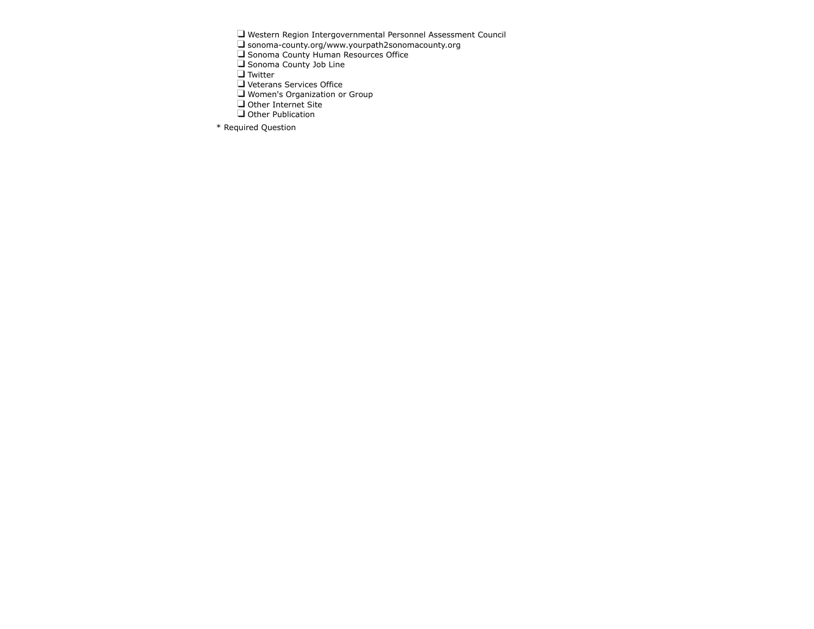Western Region Intergovernmental Personnel Assessment Council

sonoma-county.org/www.yourpath2sonomacounty.org

Sonoma County Human Resources Office

Sonoma County Job Line

Twitter

Veterans Services Office

Women's Organization or Group

Other Internet Site

Other Publication

\* Required Question